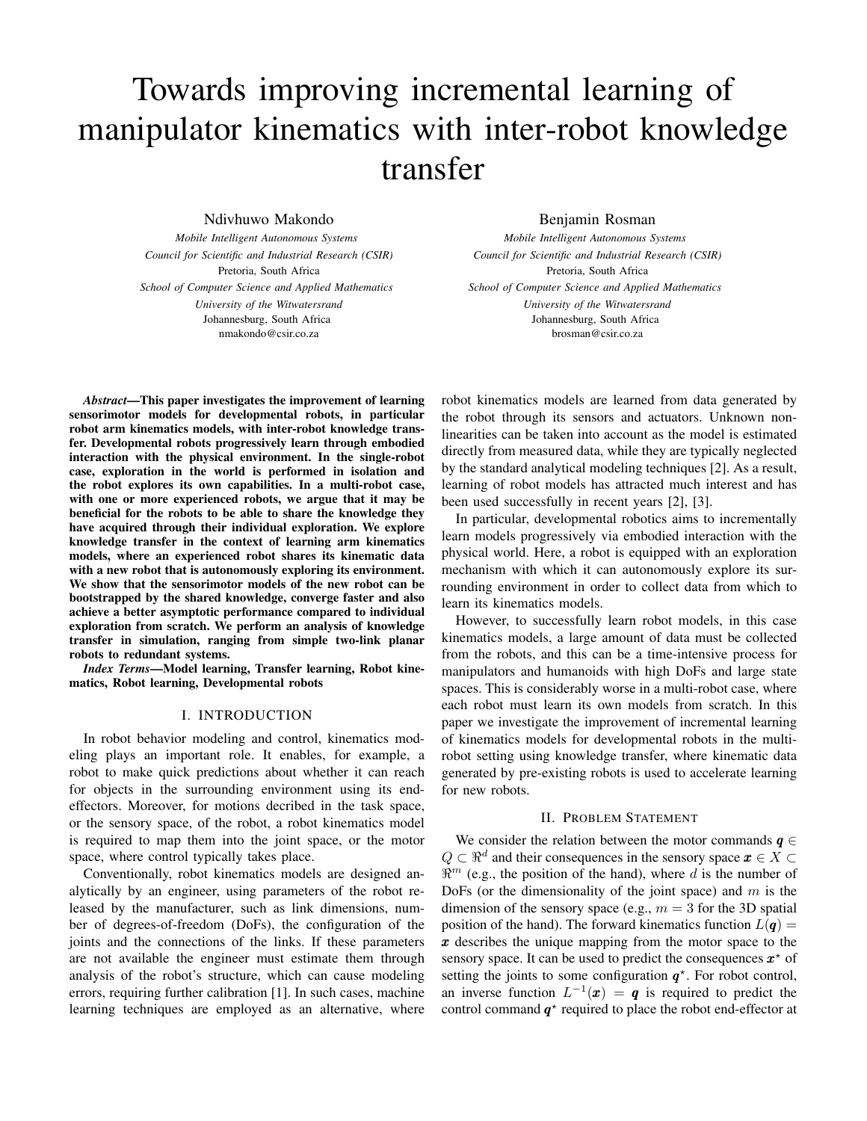# Towards improving incremental learning of manipulator kinematics with inter-robot knowledge transfer

Ndivhuwo Makondo

*Mobile Intelligent Autonomous Systems Council for Scientific and Industrial Research (CSIR)* Pretoria, South Africa *School of Computer Science and Applied Mathematics University of the Witwatersrand* Johannesburg, South Africa nmakondo@csir.co.za

## Benjamin Rosman

*Mobile Intelligent Autonomous Systems Council for Scientific and Industrial Research (CSIR)* Pretoria, South Africa *School of Computer Science and Applied Mathematics University of the Witwatersrand* Johannesburg, South Africa brosman@csir.co.za

*Abstract*—This paper investigates the improvement of learning sensorimotor models for developmental robots, in particular robot arm kinematics models, with inter-robot knowledge transfer. Developmental robots progressively learn through embodied interaction with the physical environment. In the single-robot case, exploration in the world is performed in isolation and the robot explores its own capabilities. In a multi-robot case, with one or more experienced robots, we argue that it may be beneficial for the robots to be able to share the knowledge they have acquired through their individual exploration. We explore knowledge transfer in the context of learning arm kinematics models, where an experienced robot shares its kinematic data with a new robot that is autonomously exploring its environment. We show that the sensorimotor models of the new robot can be bootstrapped by the shared knowledge, converge faster and also achieve a better asymptotic performance compared to individual exploration from scratch. We perform an analysis of knowledge transfer in simulation, ranging from simple two-link planar robots to redundant systems.

*Index Terms*—Model learning, Transfer learning, Robot kinematics, Robot learning, Developmental robots

# I. INTRODUCTION

In robot behavior modeling and control, kinematics modeling plays an important role. It enables, for example, a robot to make quick predictions about whether it can reach for objects in the surrounding environment using its endeffectors. Moreover, for motions decribed in the task space, or the sensory space, of the robot, a robot kinematics model is required to map them into the joint space, or the motor space, where control typically takes place.

Conventionally, robot kinematics models are designed analytically by an engineer, using parameters of the robot released by the manufacturer, such as link dimensions, number of degrees-of-freedom (DoFs), the configuration of the joints and the connections of the links. If these parameters are not available the engineer must estimate them through analysis of the robot's structure, which can cause modeling errors, requiring further calibration [1]. In such cases, machine learning techniques are employed as an alternative, where robot kinematics models are learned from data generated by the robot through its sensors and actuators. Unknown nonlinearities can be taken into account as the model is estimated directly from measured data, while they are typically neglected by the standard analytical modeling techniques [2]. As a result, learning of robot models has attracted much interest and has been used successfully in recent years [2], [3].

In particular, developmental robotics aims to incrementally learn models progressively via embodied interaction with the physical world. Here, a robot is equipped with an exploration mechanism with which it can autonomously explore its surrounding environment in order to collect data from which to learn its kinematics models.

However, to successfully learn robot models, in this case kinematics models, a large amount of data must be collected from the robots, and this can be a time-intensive process for manipulators and humanoids with high DoFs and large state spaces. This is considerably worse in a multi-robot case, where each robot must learn its own models from scratch. In this paper we investigate the improvement of incremental learning of kinematics models for developmental robots in the multirobot setting using knowledge transfer, where kinematic data generated by pre-existing robots is used to accelerate learning for new robots.

## II. PROBLEM STATEMENT

We consider the relation between the motor commands  $q \in$  $Q \subset \mathbb{R}^d$  and their consequences in the sensory space  $x \in X \subset$  $\mathbb{R}^m$  (e.g., the position of the hand), where d is the number of DoFs (or the dimensionality of the joint space) and  $m$  is the dimension of the sensory space (e.g.,  $m = 3$  for the 3D spatial position of the hand). The forward kinematics function  $L(q) =$ x describes the unique mapping from the motor space to the sensory space. It can be used to predict the consequences  $x^*$  of setting the joints to some configuration  $q^*$ . For robot control, an inverse function  $L^{-1}(x) = q$  is required to predict the control command  $q^*$  required to place the robot end-effector at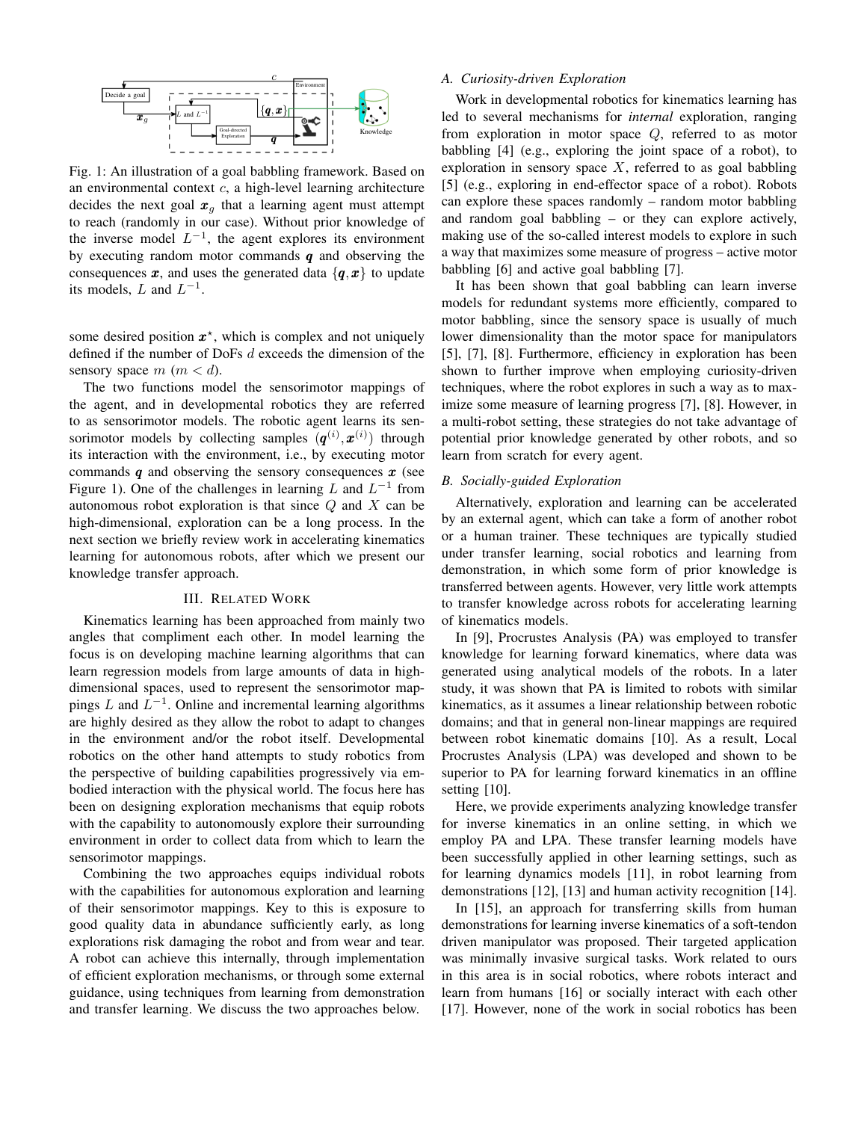

Fig. 1: An illustration of a goal babbling framework. Based on an environmental context  $c$ , a high-level learning architecture decides the next goal  $x<sub>g</sub>$  that a learning agent must attempt to reach (randomly in our case). Without prior knowledge of the inverse model  $L^{-1}$ , the agent explores its environment by executing random motor commands  $q$  and observing the consequences  $x$ , and uses the generated data  $\{q, x\}$  to update its models, L and  $L^{-1}$ .

some desired position  $x^*$ , which is complex and not uniquely defined if the number of DoFs d exceeds the dimension of the sensory space  $m$   $(m < d)$ .

The two functions model the sensorimotor mappings of the agent, and in developmental robotics they are referred to as sensorimotor models. The robotic agent learns its sensorimotor models by collecting samples  $(q^{(i)}, x^{(i)})$  through its interaction with the environment, i.e., by executing motor commands  $q$  and observing the sensory consequences  $x$  (see Figure 1). One of the challenges in learning L and  $L^{-1}$  from autonomous robot exploration is that since  $Q$  and  $X$  can be high-dimensional, exploration can be a long process. In the next section we briefly review work in accelerating kinematics learning for autonomous robots, after which we present our knowledge transfer approach.

## III. RELATED WORK

Kinematics learning has been approached from mainly two angles that compliment each other. In model learning the focus is on developing machine learning algorithms that can learn regression models from large amounts of data in highdimensional spaces, used to represent the sensorimotor mappings L and  $L^{-1}$ . Online and incremental learning algorithms are highly desired as they allow the robot to adapt to changes in the environment and/or the robot itself. Developmental robotics on the other hand attempts to study robotics from the perspective of building capabilities progressively via embodied interaction with the physical world. The focus here has been on designing exploration mechanisms that equip robots with the capability to autonomously explore their surrounding environment in order to collect data from which to learn the sensorimotor mappings.

Combining the two approaches equips individual robots with the capabilities for autonomous exploration and learning of their sensorimotor mappings. Key to this is exposure to good quality data in abundance sufficiently early, as long explorations risk damaging the robot and from wear and tear. A robot can achieve this internally, through implementation of efficient exploration mechanisms, or through some external guidance, using techniques from learning from demonstration and transfer learning. We discuss the two approaches below.

# *A. Curiosity-driven Exploration*

Work in developmental robotics for kinematics learning has led to several mechanisms for *internal* exploration, ranging from exploration in motor space Q, referred to as motor babbling [4] (e.g., exploring the joint space of a robot), to exploration in sensory space  $X$ , referred to as goal babbling [5] (e.g., exploring in end-effector space of a robot). Robots can explore these spaces randomly – random motor babbling and random goal babbling – or they can explore actively, making use of the so-called interest models to explore in such a way that maximizes some measure of progress – active motor babbling [6] and active goal babbling [7].

It has been shown that goal babbling can learn inverse models for redundant systems more efficiently, compared to motor babbling, since the sensory space is usually of much lower dimensionality than the motor space for manipulators [5], [7], [8]. Furthermore, efficiency in exploration has been shown to further improve when employing curiosity-driven techniques, where the robot explores in such a way as to maximize some measure of learning progress [7], [8]. However, in a multi-robot setting, these strategies do not take advantage of potential prior knowledge generated by other robots, and so learn from scratch for every agent.

#### *B. Socially-guided Exploration*

Alternatively, exploration and learning can be accelerated by an external agent, which can take a form of another robot or a human trainer. These techniques are typically studied under transfer learning, social robotics and learning from demonstration, in which some form of prior knowledge is transferred between agents. However, very little work attempts to transfer knowledge across robots for accelerating learning of kinematics models.

In [9], Procrustes Analysis (PA) was employed to transfer knowledge for learning forward kinematics, where data was generated using analytical models of the robots. In a later study, it was shown that PA is limited to robots with similar kinematics, as it assumes a linear relationship between robotic domains; and that in general non-linear mappings are required between robot kinematic domains [10]. As a result, Local Procrustes Analysis (LPA) was developed and shown to be superior to PA for learning forward kinematics in an offline setting [10].

Here, we provide experiments analyzing knowledge transfer for inverse kinematics in an online setting, in which we employ PA and LPA. These transfer learning models have been successfully applied in other learning settings, such as for learning dynamics models [11], in robot learning from demonstrations [12], [13] and human activity recognition [14].

In [15], an approach for transferring skills from human demonstrations for learning inverse kinematics of a soft-tendon driven manipulator was proposed. Their targeted application was minimally invasive surgical tasks. Work related to ours in this area is in social robotics, where robots interact and learn from humans [16] or socially interact with each other [17]. However, none of the work in social robotics has been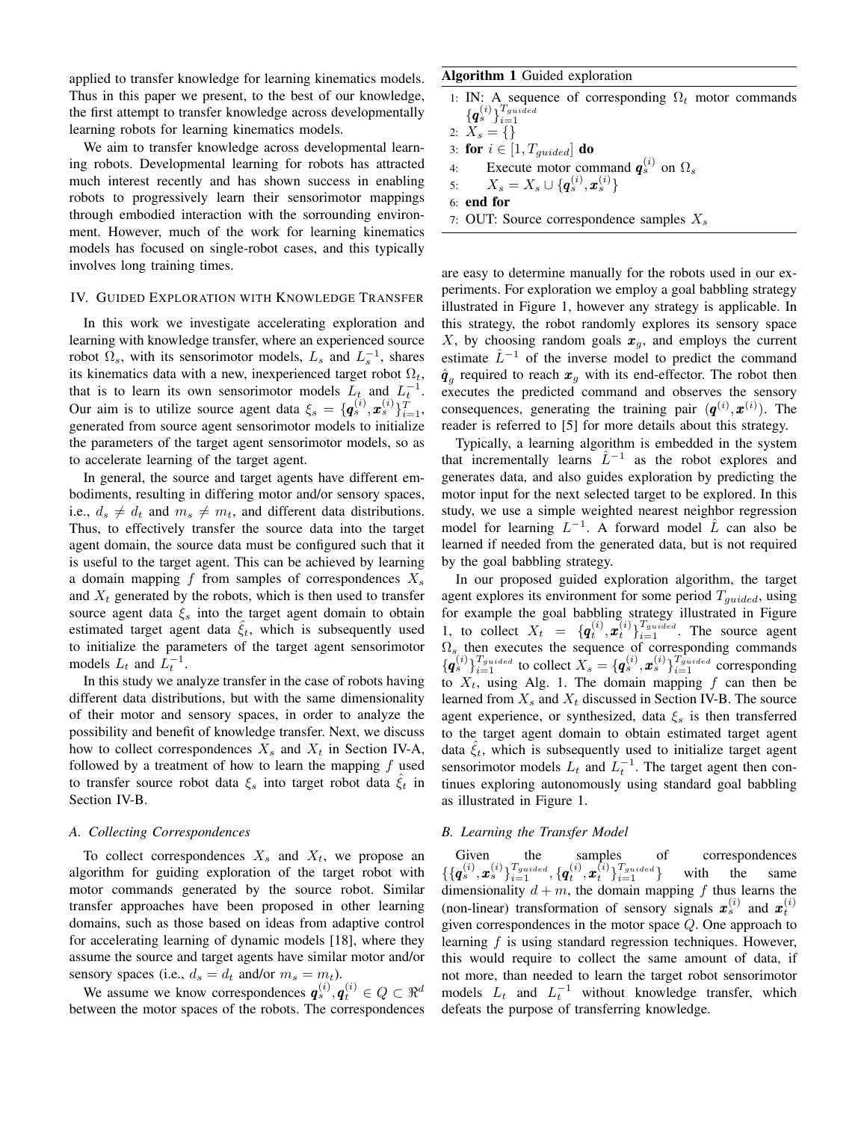applied to transfer knowledge for learning kinematics models. Thus in this paper we present, to the best of our knowledge, the first attempt to transfer knowledge across developmentally learning robots for learning kinematics models.

We aim to transfer knowledge across developmental learning robots. Developmental learning for robots has attracted much interest recently and has shown success in enabling robots to progressively learn their sensorimotor mappings through embodied interaction with the sorrounding environment. However, much of the work for learning kinematics models has focused on single-robot cases, and this typically involves long training times.

#### IV. GUIDED EXPLORATION WITH KNOWLEDGE TRANSFER

In this work we investigate accelerating exploration and learning with knowledge transfer, where an experienced source robot  $\Omega_s$ , with its sensorimotor models,  $L_s$  and  $L_s^{-1}$ , shares its kinematics data with a new, inexperienced target robot  $\Omega_t$ , that is to learn its own sensorimotor models  $L_t$  and  $L_t^{-1}$ . Our aim is to utilize source agent data  $\xi_s = {\{\boldsymbol{q}_s^{(i)}, \boldsymbol{x}_s^{(i)}\}_{i=1}^{T}}$ , generated from source agent sensorimotor models to initialize the parameters of the target agent sensorimotor models, so as to accelerate learning of the target agent.

In general, the source and target agents have different embodiments, resulting in differing motor and/or sensory spaces, i.e.,  $d_s \neq d_t$  and  $m_s \neq m_t$ , and different data distributions. Thus, to effectively transfer the source data into the target agent domain, the source data must be configured such that it is useful to the target agent. This can be achieved by learning a domain mapping f from samples of correspondences  $X_s$ and  $X_t$  generated by the robots, which is then used to transfer source agent data  $\xi_s$  into the target agent domain to obtain estimated target agent data  $\xi_t$ , which is subsequently used to initialize the parameters of the target agent sensorimotor models  $L_t$  and  $\overline{L_t^{-1}}$ .

In this study we analyze transfer in the case of robots having different data distributions, but with the same dimensionality of their motor and sensory spaces, in order to analyze the possibility and benefit of knowledge transfer. Next, we discuss how to collect correspondences  $X_s$  and  $X_t$  in Section IV-A, followed by a treatment of how to learn the mapping  $f$  used to transfer source robot data  $\xi_s$  into target robot data  $\xi_t$  in Section IV-B.

## *A. Collecting Correspondences*

To collect correspondences  $X_s$  and  $X_t$ , we propose an algorithm for guiding exploration of the target robot with motor commands generated by the source robot. Similar transfer approaches have been proposed in other learning domains, such as those based on ideas from adaptive control for accelerating learning of dynamic models [18], where they assume the source and target agents have similar motor and/or sensory spaces (i.e.,  $d_s = d_t$  and/or  $m_s = m_t$ ).

We assume we know correspondences  $\boldsymbol{q}_s^{(i)}, \boldsymbol{q}_t^{(i)} \in Q \subset \Re^d$ between the motor spaces of the robots. The correspondences

## Algorithm 1 Guided exploration

- 1: IN: A sequence of corresponding  $\Omega_t$  motor commands  $\{\boldsymbol{q}_s^{(i)}\}_{i=1}^{T_{guide}}$
- 2:  $X_s = \{\}$ 3: for  $i \in [1, T_{guide}]$  do 4: Execute motor command  $q_s^{(i)}$  on  $\Omega_s$ 5:  $X_s = X_s \cup \{ \boldsymbol{q}_s^{(i)}, \boldsymbol{x}_s^{(i)} \}$

6: end for

7: OUT: Source correspondence samples  $X_s$ 

are easy to determine manually for the robots used in our experiments. For exploration we employ a goal babbling strategy illustrated in Figure 1, however any strategy is applicable. In this strategy, the robot randomly explores its sensory space X, by choosing random goals  $x_q$ , and employs the current estimate  $\hat{L}^{-1}$  of the inverse model to predict the command  $\hat{\boldsymbol{q}}_g$  required to reach  $\boldsymbol{x}_g$  with its end-effector. The robot then executes the predicted command and observes the sensory consequences, generating the training pair  $(q^{(i)}, x^{(i)})$ . The reader is referred to [5] for more details about this strategy.

Typically, a learning algorithm is embedded in the system that incrementally learns  $\hat{L}^{-1}$  as the robot explores and generates data, and also guides exploration by predicting the motor input for the next selected target to be explored. In this study, we use a simple weighted nearest neighbor regression model for learning  $L^{-1}$ . A forward model  $\hat{L}$  can also be learned if needed from the generated data, but is not required by the goal babbling strategy.

In our proposed guided exploration algorithm, the target agent explores its environment for some period  $T_{guided}$ , using for example the goal babbling strategy illustrated in Figure 1, to collect  $X_t = \{q_t^{(i)}, \tilde{x}_t^{(i)}\}_{i=1}^{T_{guide}}$ . The source agent  $\Omega_s$  then executes the sequence of corresponding commands  ${q_s^{(i)}}_{i=1}^{T_{guided}}$  to collect  $X_s = {q_s^{(i)}, \boldsymbol{x}_s^{(i)}}_{i=1}^{T_{guided}}$  corresponding to  $X_t$ , using Alg. 1. The domain mapping f can then be learned from  $X_s$  and  $X_t$  discussed in Section IV-B. The source agent experience, or synthesized, data  $\xi_s$  is then transferred to the target agent domain to obtain estimated target agent data  $\xi_t$ , which is subsequently used to initialize target agent sensorimotor models  $L_t$  and  $L_t^{-1}$ . The target agent then continues exploring autonomously using standard goal babbling as illustrated in Figure 1.

## *B. Learning the Transfer Model*

Given the samples of correspondences  $\{\{ {\bm{q}}_{s}^{(i)}, {\bm{x}}_{s}^{(i)} \}_{i=1}^{T_{guided}}, \{ {\bm{q}}_{t}^{(i)}, {\bm{x}}_{t}^{(i)} \}_{i=1}^{T_{guided}} \}$  with the same dimensionality  $d + m$ , the domain mapping f thus learns the (non-linear) transformation of sensory signals  $x_s^{(i)}$  and  $x_t^{(i)}$ given correspondences in the motor space Q. One approach to learning  $f$  is using standard regression techniques. However, this would require to collect the same amount of data, if not more, than needed to learn the target robot sensorimotor models  $L_t$  and  $L_t^{-1}$  without knowledge transfer, which defeats the purpose of transferring knowledge.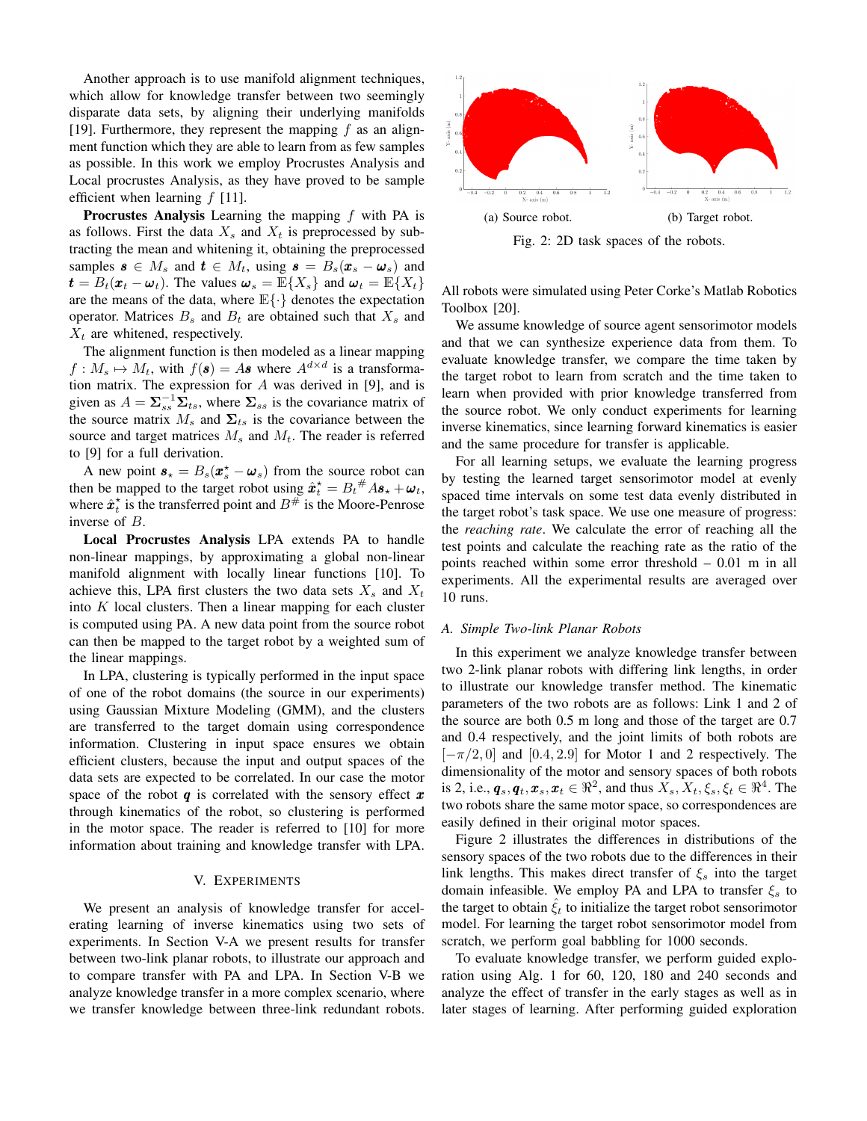Another approach is to use manifold alignment techniques, which allow for knowledge transfer between two seemingly disparate data sets, by aligning their underlying manifolds [19]. Furthermore, they represent the mapping  $f$  as an alignment function which they are able to learn from as few samples as possible. In this work we employ Procrustes Analysis and Local procrustes Analysis, as they have proved to be sample efficient when learning  $f$  [11].

**Procrustes Analysis** Learning the mapping  $f$  with PA is as follows. First the data  $X_s$  and  $X_t$  is preprocessed by subtracting the mean and whitening it, obtaining the preprocessed samples  $\mathbf{s} \in M_s$  and  $\mathbf{t} \in M_t$ , using  $\mathbf{s} = B_s(\mathbf{x}_s - \mathbf{\omega}_s)$  and  $t = B_t(\boldsymbol{x}_t - \boldsymbol{\omega}_t)$ . The values  $\boldsymbol{\omega}_s = \mathbb{E}\{X_s\}$  and  $\boldsymbol{\omega}_t = \mathbb{E}\{X_t\}$ are the means of the data, where  $\mathbb{E}\{\cdot\}$  denotes the expectation operator. Matrices  $B_s$  and  $B_t$  are obtained such that  $X_s$  and  $X_t$  are whitened, respectively.

The alignment function is then modeled as a linear mapping  $f: M_s \mapsto M_t$ , with  $f(\mathbf{s}) = A\mathbf{s}$  where  $A^{d \times d}$  is a transformation matrix. The expression for  $A$  was derived in [9], and is given as  $A = \sum_{ss}^{-1} \Sigma_{ts}$ , where  $\Sigma_{ss}$  is the covariance matrix of the source matrix  $M_s$  and  $\Sigma_{ts}$  is the covariance between the source and target matrices  $M_s$  and  $M_t$ . The reader is referred to [9] for a full derivation.

A new point  $s_{\star} = B_s(x_{s}^{\star} - \omega_s)$  from the source robot can then be mapped to the target robot using  $\hat{\boldsymbol{x}}_t^* = B_t^{\#} A \boldsymbol{s}_\star + \boldsymbol{\omega}_t$ , where  $\hat{x}_t^*$  is the transferred point and  $B^{\#}$  is the Moore-Penrose inverse of B.

Local Procrustes Analysis LPA extends PA to handle non-linear mappings, by approximating a global non-linear manifold alignment with locally linear functions [10]. To achieve this, LPA first clusters the two data sets  $X_s$  and  $X_t$ into  $K$  local clusters. Then a linear mapping for each cluster is computed using PA. A new data point from the source robot can then be mapped to the target robot by a weighted sum of the linear mappings.

In LPA, clustering is typically performed in the input space of one of the robot domains (the source in our experiments) using Gaussian Mixture Modeling (GMM), and the clusters are transferred to the target domain using correspondence information. Clustering in input space ensures we obtain efficient clusters, because the input and output spaces of the data sets are expected to be correlated. In our case the motor space of the robot  $q$  is correlated with the sensory effect  $x$ through kinematics of the robot, so clustering is performed in the motor space. The reader is referred to [10] for more information about training and knowledge transfer with LPA.

## V. EXPERIMENTS

We present an analysis of knowledge transfer for accelerating learning of inverse kinematics using two sets of experiments. In Section V-A we present results for transfer between two-link planar robots, to illustrate our approach and to compare transfer with PA and LPA. In Section V-B we analyze knowledge transfer in a more complex scenario, where we transfer knowledge between three-link redundant robots.



Fig. 2: 2D task spaces of the robots.

All robots were simulated using Peter Corke's Matlab Robotics Toolbox [20].

We assume knowledge of source agent sensorimotor models and that we can synthesize experience data from them. To evaluate knowledge transfer, we compare the time taken by the target robot to learn from scratch and the time taken to learn when provided with prior knowledge transferred from the source robot. We only conduct experiments for learning inverse kinematics, since learning forward kinematics is easier and the same procedure for transfer is applicable.

For all learning setups, we evaluate the learning progress by testing the learned target sensorimotor model at evenly spaced time intervals on some test data evenly distributed in the target robot's task space. We use one measure of progress: the *reaching rate*. We calculate the error of reaching all the test points and calculate the reaching rate as the ratio of the points reached within some error threshold – 0.01 m in all experiments. All the experimental results are averaged over 10 runs.

#### *A. Simple Two-link Planar Robots*

In this experiment we analyze knowledge transfer between two 2-link planar robots with differing link lengths, in order to illustrate our knowledge transfer method. The kinematic parameters of the two robots are as follows: Link 1 and 2 of the source are both 0.5 m long and those of the target are 0.7 and 0.4 respectively, and the joint limits of both robots are  $[-\pi/2, 0]$  and  $[0.4, 2.9]$  for Motor 1 and 2 respectively. The dimensionality of the motor and sensory spaces of both robots is 2, i.e.,  $\mathbf{q}_s, \mathbf{q}_t, \mathbf{x}_s, \mathbf{x}_t \in \Re^2$ , and thus  $X_s, X_t, \xi_s, \xi_t \in \Re^4$ . The two robots share the same motor space, so correspondences are easily defined in their original motor spaces.

Figure 2 illustrates the differences in distributions of the sensory spaces of the two robots due to the differences in their link lengths. This makes direct transfer of  $\xi_s$  into the target domain infeasible. We employ PA and LPA to transfer  $\xi_s$  to the target to obtain  $\xi_t$  to initialize the target robot sensorimotor model. For learning the target robot sensorimotor model from scratch, we perform goal babbling for 1000 seconds.

To evaluate knowledge transfer, we perform guided exploration using Alg. 1 for 60, 120, 180 and 240 seconds and analyze the effect of transfer in the early stages as well as in later stages of learning. After performing guided exploration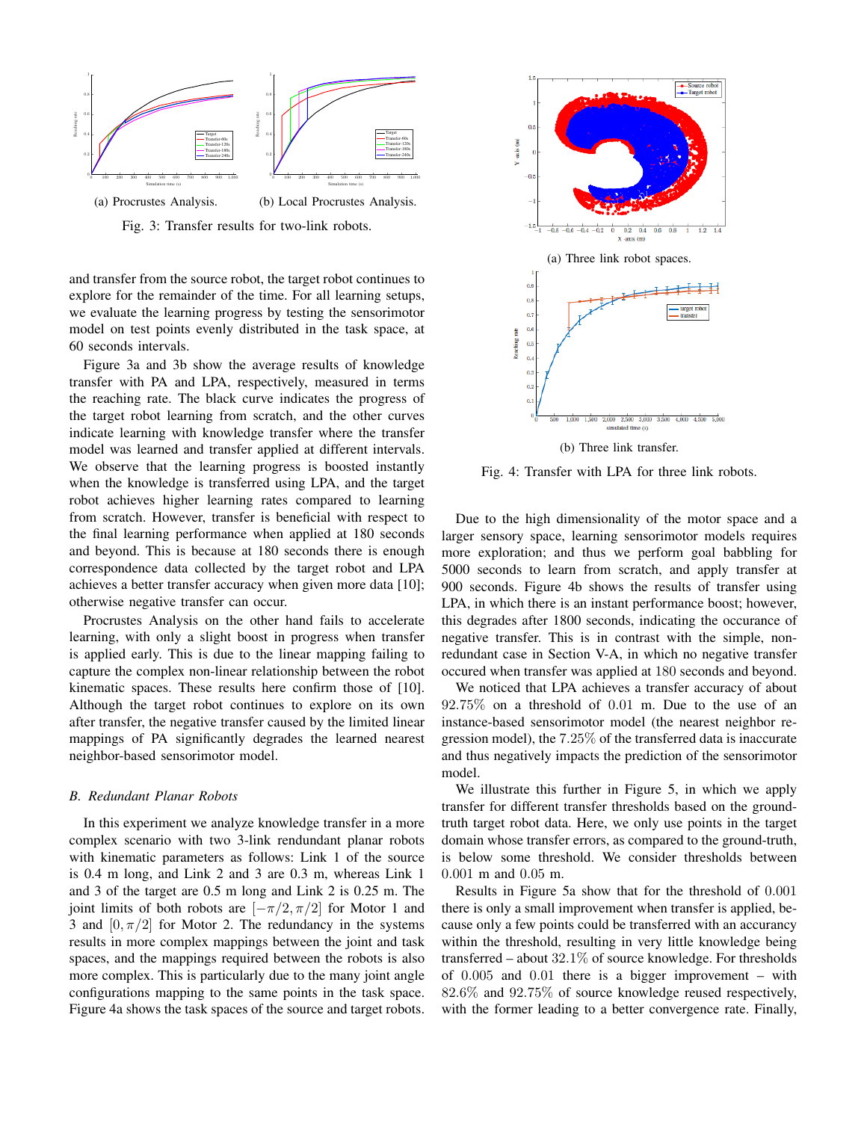

Fig. 3: Transfer results for two-link robots.

and transfer from the source robot, the target robot continues to explore for the remainder of the time. For all learning setups, we evaluate the learning progress by testing the sensorimotor model on test points evenly distributed in the task space, at 60 seconds intervals.

Figure 3a and 3b show the average results of knowledge transfer with PA and LPA, respectively, measured in terms the reaching rate. The black curve indicates the progress of the target robot learning from scratch, and the other curves indicate learning with knowledge transfer where the transfer model was learned and transfer applied at different intervals. We observe that the learning progress is boosted instantly when the knowledge is transferred using LPA, and the target robot achieves higher learning rates compared to learning from scratch. However, transfer is beneficial with respect to the final learning performance when applied at 180 seconds and beyond. This is because at 180 seconds there is enough correspondence data collected by the target robot and LPA achieves a better transfer accuracy when given more data [10]; otherwise negative transfer can occur.

Procrustes Analysis on the other hand fails to accelerate learning, with only a slight boost in progress when transfer is applied early. This is due to the linear mapping failing to capture the complex non-linear relationship between the robot kinematic spaces. These results here confirm those of [10]. Although the target robot continues to explore on its own after transfer, the negative transfer caused by the limited linear mappings of PA significantly degrades the learned nearest neighbor-based sensorimotor model.

#### *B. Redundant Planar Robots*

In this experiment we analyze knowledge transfer in a more complex scenario with two 3-link rendundant planar robots with kinematic parameters as follows: Link 1 of the source is 0.4 m long, and Link 2 and 3 are 0.3 m, whereas Link 1 and 3 of the target are 0.5 m long and Link 2 is 0.25 m. The joint limits of both robots are  $[-\pi/2, \pi/2]$  for Motor 1 and 3 and  $[0, \pi/2]$  for Motor 2. The redundancy in the systems results in more complex mappings between the joint and task spaces, and the mappings required between the robots is also more complex. This is particularly due to the many joint angle configurations mapping to the same points in the task space. Figure 4a shows the task spaces of the source and target robots.



Fig. 4: Transfer with LPA for three link robots.

Due to the high dimensionality of the motor space and a larger sensory space, learning sensorimotor models requires more exploration; and thus we perform goal babbling for 5000 seconds to learn from scratch, and apply transfer at 900 seconds. Figure 4b shows the results of transfer using LPA, in which there is an instant performance boost; however, this degrades after 1800 seconds, indicating the occurance of negative transfer. This is in contrast with the simple, nonredundant case in Section V-A, in which no negative transfer occured when transfer was applied at 180 seconds and beyond.

We noticed that LPA achieves a transfer accuracy of about 92.75% on a threshold of 0.01 m. Due to the use of an instance-based sensorimotor model (the nearest neighbor regression model), the 7.25% of the transferred data is inaccurate and thus negatively impacts the prediction of the sensorimotor model.

We illustrate this further in Figure 5, in which we apply transfer for different transfer thresholds based on the groundtruth target robot data. Here, we only use points in the target domain whose transfer errors, as compared to the ground-truth, is below some threshold. We consider thresholds between 0.001 m and 0.05 m.

Results in Figure 5a show that for the threshold of 0.001 there is only a small improvement when transfer is applied, because only a few points could be transferred with an accurancy within the threshold, resulting in very little knowledge being transferred – about 32.1% of source knowledge. For thresholds of 0.005 and 0.01 there is a bigger improvement – with 82.6% and 92.75% of source knowledge reused respectively, with the former leading to a better convergence rate. Finally,